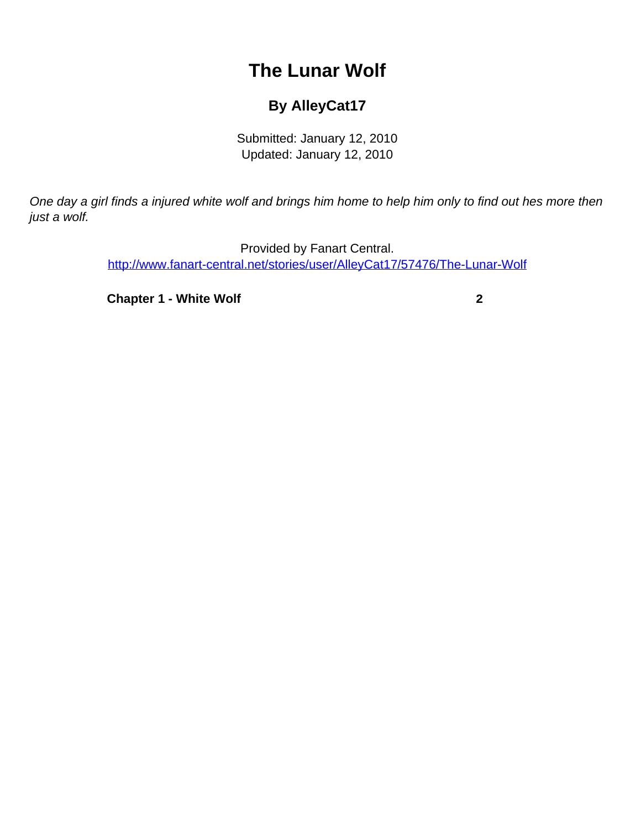## **The Lunar Wolf**

## **By AlleyCat17**

Submitted: January 12, 2010 Updated: January 12, 2010

<span id="page-0-0"></span>One day a girl finds a injured white wolf and brings him home to help him only to find out hes more then just a wolf.

> Provided by Fanart Central. [http://www.fanart-central.net/stories/user/AlleyCat17/57476/The-Lunar-Wolf](#page-0-0)

**[Chapter 1 - White Wolf](#page-1-0)** [2](#page-1-0)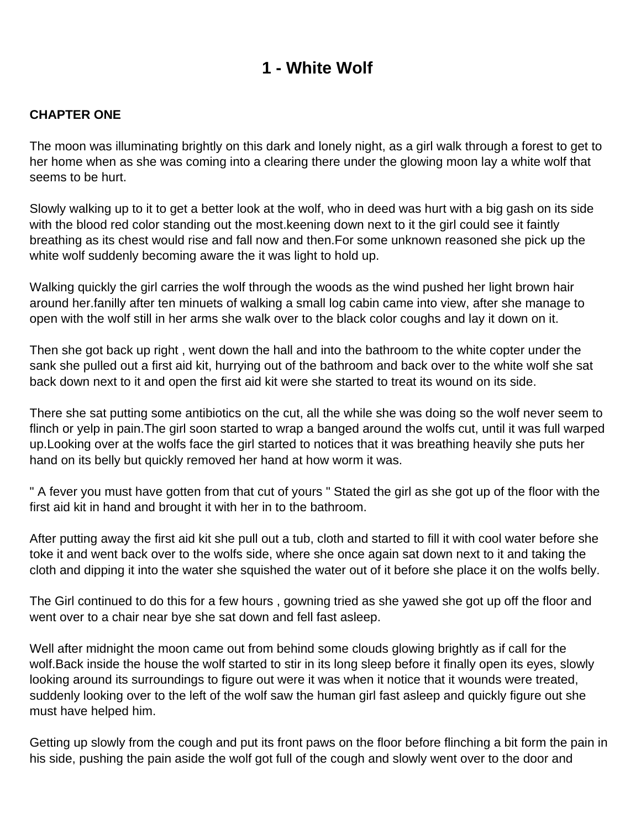## **1 - White Wolf**

## <span id="page-1-0"></span>**CHAPTER ONE**

The moon was illuminating brightly on this dark and lonely night, as a girl walk through a forest to get to her home when as she was coming into a clearing there under the glowing moon lay a white wolf that seems to be hurt.

Slowly walking up to it to get a better look at the wolf, who in deed was hurt with a big gash on its side with the blood red color standing out the most. keening down next to it the girl could see it faintly breathing as its chest would rise and fall now and then.For some unknown reasoned she pick up the white wolf suddenly becoming aware the it was light to hold up.

Walking quickly the girl carries the wolf through the woods as the wind pushed her light brown hair around her.fanilly after ten minuets of walking a small log cabin came into view, after she manage to open with the wolf still in her arms she walk over to the black color coughs and lay it down on it.

Then she got back up right , went down the hall and into the bathroom to the white copter under the sank she pulled out a first aid kit, hurrying out of the bathroom and back over to the white wolf she sat back down next to it and open the first aid kit were she started to treat its wound on its side.

There she sat putting some antibiotics on the cut, all the while she was doing so the wolf never seem to flinch or yelp in pain.The girl soon started to wrap a banged around the wolfs cut, until it was full warped up.Looking over at the wolfs face the girl started to notices that it was breathing heavily she puts her hand on its belly but quickly removed her hand at how worm it was.

" A fever you must have gotten from that cut of yours " Stated the girl as she got up of the floor with the first aid kit in hand and brought it with her in to the bathroom.

After putting away the first aid kit she pull out a tub, cloth and started to fill it with cool water before she toke it and went back over to the wolfs side, where she once again sat down next to it and taking the cloth and dipping it into the water she squished the water out of it before she place it on the wolfs belly.

The Girl continued to do this for a few hours , gowning tried as she yawed she got up off the floor and went over to a chair near bye she sat down and fell fast asleep.

Well after midnight the moon came out from behind some clouds glowing brightly as if call for the wolf.Back inside the house the wolf started to stir in its long sleep before it finally open its eyes, slowly looking around its surroundings to figure out were it was when it notice that it wounds were treated, suddenly looking over to the left of the wolf saw the human girl fast asleep and quickly figure out she must have helped him.

Getting up slowly from the cough and put its front paws on the floor before flinching a bit form the pain in his side, pushing the pain aside the wolf got full of the cough and slowly went over to the door and